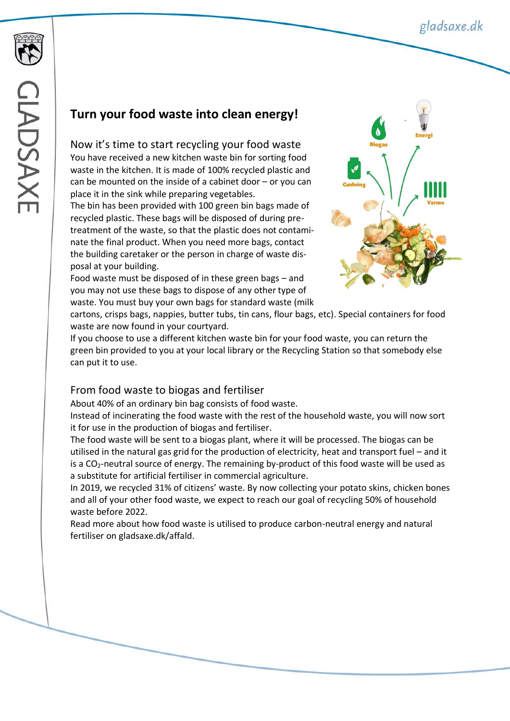## **Turn your food waste into clean energy!**

Now it's time to start recycling your food waste You have received a new kitchen waste bin for sorting food waste in the kitchen. It is made of 100% recycled plastic and can be mounted on the inside of a cabinet door – or you can place it in the sink while preparing vegetables.

The bin has been provided with 100 green bin bags made of recycled plastic. These bags will be disposed of during pretreatment of the waste, so that the plastic does not contaminate the final product. When you need more bags, contact the building caretaker or the person in charge of waste disposal at your building.

Food waste must be disposed of in these green bags – and you may not use these bags to dispose of any other type of waste. You must buy your own bags for standard waste (milk



cartons, crisps bags, nappies, butter tubs, tin cans, flour bags, etc). Special containers for food waste are now found in your courtyard.

If you choose to use a different kitchen waste bin for your food waste, you can return the green bin provided to you at your local library or the Recycling Station so that somebody else can put it to use.

## From food waste to biogas and fertiliser

About 40% of an ordinary bin bag consists of food waste.

Instead of incinerating the food waste with the rest of the household waste, you will now sort it for use in the production of biogas and fertiliser.

The food waste will be sent to a biogas plant, where it will be processed. The biogas can be utilised in the natural gas grid for the production of electricity, heat and transport fuel – and it is a  $CO<sub>2</sub>$ -neutral source of energy. The remaining by-product of this food waste will be used as a substitute for artificial fertiliser in commercial agriculture.

In 2019, we recycled 31% of citizens' waste. By now collecting your potato skins, chicken bones and all of your other food waste, we expect to reach our goal of recycling 50% of household waste before 2022.

Read more about how food waste is utilised to produce carbon-neutral energy and natural fertiliser on gladsaxe.dk/affald.